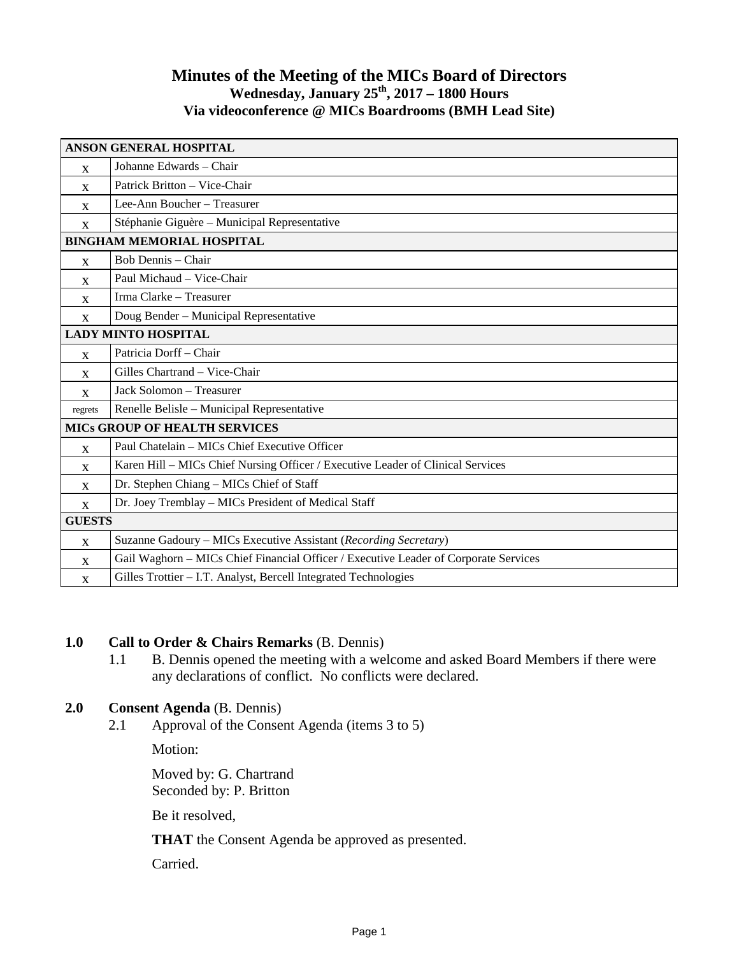## **Minutes of the Meeting of the MICs Board of Directors Wednesday, January 25th, 2017 – 1800 Hours Via videoconference @ MICs Boardrooms (BMH Lead Site)**

| <b>ANSON GENERAL HOSPITAL</b>        |                                                                                      |
|--------------------------------------|--------------------------------------------------------------------------------------|
| X                                    | Johanne Edwards – Chair                                                              |
| X                                    | Patrick Britton - Vice-Chair                                                         |
| X                                    | Lee-Ann Boucher - Treasurer                                                          |
| $\mathbf{X}$                         | Stéphanie Giguère - Municipal Representative                                         |
| <b>BINGHAM MEMORIAL HOSPITAL</b>     |                                                                                      |
| $\mathbf{x}$                         | Bob Dennis - Chair                                                                   |
| X                                    | Paul Michaud - Vice-Chair                                                            |
| X                                    | Irma Clarke - Treasurer                                                              |
| $\mathbf{x}$                         | Doug Bender - Municipal Representative                                               |
| <b>LADY MINTO HOSPITAL</b>           |                                                                                      |
| X                                    | Patricia Dorff - Chair                                                               |
| $\mathbf{x}$                         | Gilles Chartrand - Vice-Chair                                                        |
| $\mathbf{x}$                         | Jack Solomon - Treasurer                                                             |
| regrets                              | Renelle Belisle - Municipal Representative                                           |
| <b>MICS GROUP OF HEALTH SERVICES</b> |                                                                                      |
| $\mathbf{x}$                         | Paul Chatelain - MICs Chief Executive Officer                                        |
| X                                    | Karen Hill - MICs Chief Nursing Officer / Executive Leader of Clinical Services      |
| X                                    | Dr. Stephen Chiang - MICs Chief of Staff                                             |
| X                                    | Dr. Joey Tremblay - MICs President of Medical Staff                                  |
| <b>GUESTS</b>                        |                                                                                      |
| X                                    | Suzanne Gadoury - MICs Executive Assistant (Recording Secretary)                     |
| X                                    | Gail Waghorn - MICs Chief Financial Officer / Executive Leader of Corporate Services |
| X                                    | Gilles Trottier - I.T. Analyst, Bercell Integrated Technologies                      |

## **1.0 Call to Order & Chairs Remarks** (B. Dennis)

1.1 B. Dennis opened the meeting with a welcome and asked Board Members if there were any declarations of conflict. No conflicts were declared.

## **2.0 Consent Agenda** (B. Dennis)

2.1 Approval of the Consent Agenda (items 3 to 5)

Motion:

Moved by: G. Chartrand Seconded by: P. Britton

Be it resolved,

**THAT** the Consent Agenda be approved as presented.

Carried.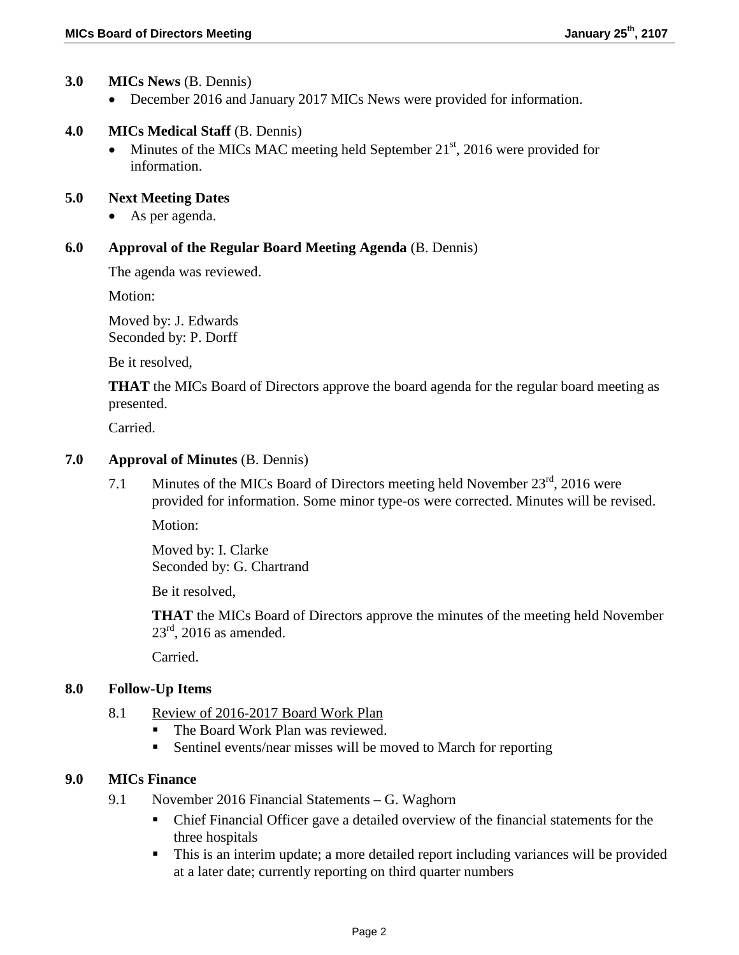### **3.0 MICs News** (B. Dennis)

• December 2016 and January 2017 MICs News were provided for information.

### **4.0 MICs Medical Staff** (B. Dennis)

• Minutes of the MICs MAC meeting held September  $21<sup>st</sup>$ , 2016 were provided for information.

#### **5.0 Next Meeting Dates**

• As per agenda.

#### **6.0 Approval of the Regular Board Meeting Agenda** (B. Dennis)

The agenda was reviewed.

Motion:

Moved by: J. Edwards Seconded by: P. Dorff

Be it resolved,

**THAT** the MICs Board of Directors approve the board agenda for the regular board meeting as presented.

Carried.

### **7.0 Approval of Minutes** (B. Dennis)

7.1 Minutes of the MICs Board of Directors meeting held November  $23<sup>rd</sup>$ , 2016 were provided for information. Some minor type-os were corrected. Minutes will be revised.

Motion:

Moved by: I. Clarke Seconded by: G. Chartrand

Be it resolved,

**THAT** the MICs Board of Directors approve the minutes of the meeting held November  $23^{\text{rd}}$ , 2016 as amended.

Carried.

#### **8.0 Follow-Up Items**

- 8.1 Review of 2016-2017 Board Work Plan
	- The Board Work Plan was reviewed.
	- Sentinel events/near misses will be moved to March for reporting

#### **9.0 MICs Finance**

- 9.1 November 2016 Financial Statements G. Waghorn
	- Chief Financial Officer gave a detailed overview of the financial statements for the three hospitals
	- This is an interim update; a more detailed report including variances will be provided at a later date; currently reporting on third quarter numbers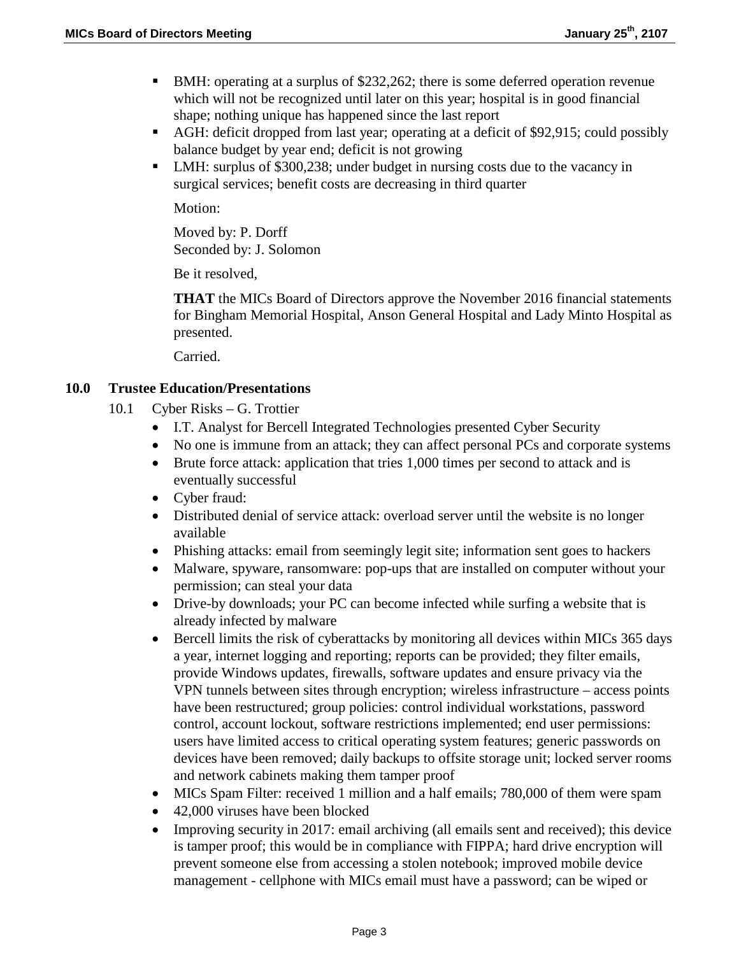- BMH: operating at a surplus of \$232,262; there is some deferred operation revenue which will not be recognized until later on this year; hospital is in good financial shape; nothing unique has happened since the last report
- AGH: deficit dropped from last year; operating at a deficit of \$92,915; could possibly balance budget by year end; deficit is not growing
- LMH: surplus of \$300,238; under budget in nursing costs due to the vacancy in surgical services; benefit costs are decreasing in third quarter

Motion:

Moved by: P. Dorff Seconded by: J. Solomon

Be it resolved,

**THAT** the MICs Board of Directors approve the November 2016 financial statements for Bingham Memorial Hospital, Anson General Hospital and Lady Minto Hospital as presented.

Carried.

### **10.0 Trustee Education/Presentations**

- 10.1 Cyber Risks G. Trottier
	- I.T. Analyst for Bercell Integrated Technologies presented Cyber Security
	- No one is immune from an attack; they can affect personal PCs and corporate systems
	- Brute force attack: application that tries 1,000 times per second to attack and is eventually successful
	- Cyber fraud:
	- Distributed denial of service attack: overload server until the website is no longer available
	- Phishing attacks: email from seemingly legit site; information sent goes to hackers
	- Malware, spyware, ransomware: pop-ups that are installed on computer without your permission; can steal your data
	- Drive-by downloads; your PC can become infected while surfing a website that is already infected by malware
	- Bercell limits the risk of cyberattacks by monitoring all devices within MICs 365 days a year, internet logging and reporting; reports can be provided; they filter emails, provide Windows updates, firewalls, software updates and ensure privacy via the VPN tunnels between sites through encryption; wireless infrastructure – access points have been restructured; group policies: control individual workstations, password control, account lockout, software restrictions implemented; end user permissions: users have limited access to critical operating system features; generic passwords on devices have been removed; daily backups to offsite storage unit; locked server rooms and network cabinets making them tamper proof
	- MICs Spam Filter: received 1 million and a half emails; 780,000 of them were spam
	- 42,000 viruses have been blocked
	- Improving security in 2017: email archiving (all emails sent and received); this device is tamper proof; this would be in compliance with FIPPA; hard drive encryption will prevent someone else from accessing a stolen notebook; improved mobile device management - cellphone with MICs email must have a password; can be wiped or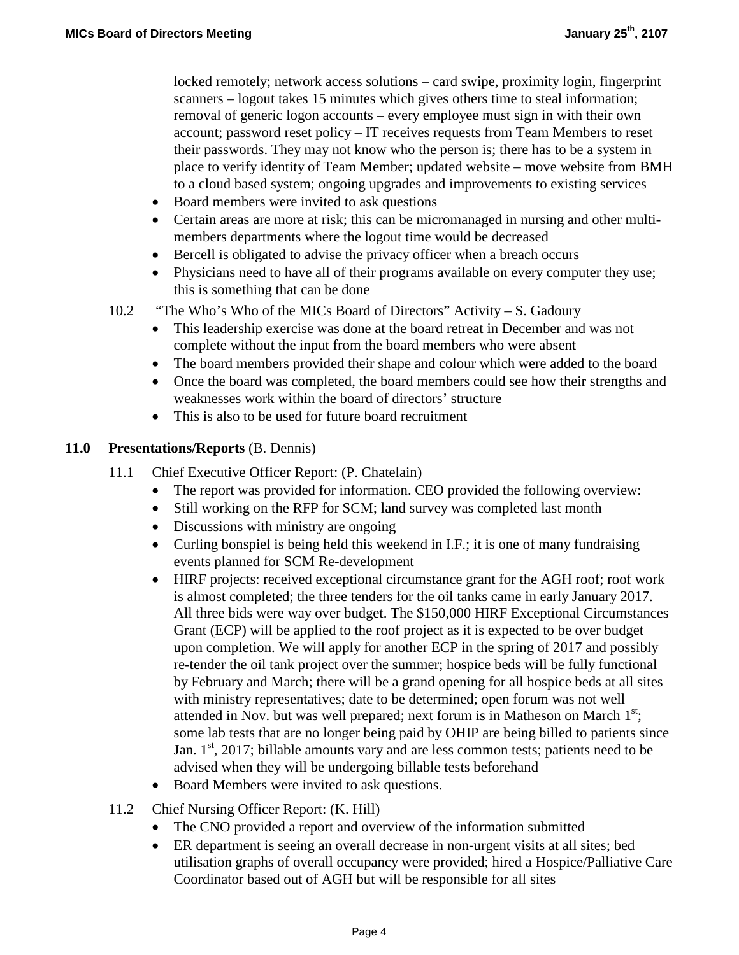locked remotely; network access solutions – card swipe, proximity login, fingerprint scanners – logout takes 15 minutes which gives others time to steal information; removal of generic logon accounts – every employee must sign in with their own account; password reset policy – IT receives requests from Team Members to reset their passwords. They may not know who the person is; there has to be a system in place to verify identity of Team Member; updated website – move website from BMH to a cloud based system; ongoing upgrades and improvements to existing services

- Board members were invited to ask questions
- Certain areas are more at risk; this can be micromanaged in nursing and other multimembers departments where the logout time would be decreased
- Bercell is obligated to advise the privacy officer when a breach occurs
- Physicians need to have all of their programs available on every computer they use; this is something that can be done
- 10.2 "The Who's Who of the MICs Board of Directors" Activity S. Gadoury
	- This leadership exercise was done at the board retreat in December and was not complete without the input from the board members who were absent
	- The board members provided their shape and colour which were added to the board
	- Once the board was completed, the board members could see how their strengths and weaknesses work within the board of directors' structure
	- This is also to be used for future board recruitment

### **11.0 Presentations/Reports** (B. Dennis)

- 11.1 Chief Executive Officer Report: (P. Chatelain)
	- The report was provided for information. CEO provided the following overview:
	- Still working on the RFP for SCM; land survey was completed last month
	- Discussions with ministry are ongoing
	- Curling bonspiel is being held this weekend in I.F.; it is one of many fundraising events planned for SCM Re-development
	- HIRF projects: received exceptional circumstance grant for the AGH roof; roof work is almost completed; the three tenders for the oil tanks came in early January 2017. All three bids were way over budget. The \$150,000 HIRF Exceptional Circumstances Grant (ECP) will be applied to the roof project as it is expected to be over budget upon completion. We will apply for another ECP in the spring of 2017 and possibly re-tender the oil tank project over the summer; hospice beds will be fully functional by February and March; there will be a grand opening for all hospice beds at all sites with ministry representatives; date to be determined; open forum was not well attended in Nov. but was well prepared; next forum is in Matheson on March  $1^{st}$ ; some lab tests that are no longer being paid by OHIP are being billed to patients since Jan.  $1<sup>st</sup>$ , 2017; billable amounts vary and are less common tests; patients need to be advised when they will be undergoing billable tests beforehand
	- Board Members were invited to ask questions.
- 11.2 Chief Nursing Officer Report: (K. Hill)
	- The CNO provided a report and overview of the information submitted
	- ER department is seeing an overall decrease in non-urgent visits at all sites; bed utilisation graphs of overall occupancy were provided; hired a Hospice/Palliative Care Coordinator based out of AGH but will be responsible for all sites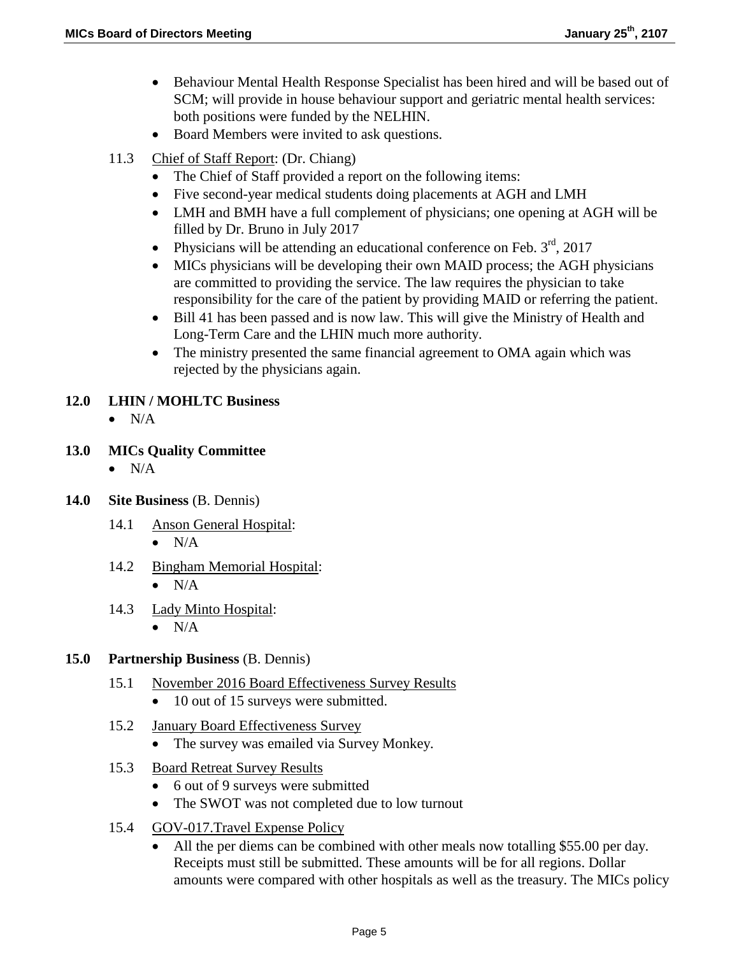- Behaviour Mental Health Response Specialist has been hired and will be based out of SCM; will provide in house behaviour support and geriatric mental health services: both positions were funded by the NELHIN.
- Board Members were invited to ask questions.
- 11.3 Chief of Staff Report: (Dr. Chiang)
	- The Chief of Staff provided a report on the following items:
	- Five second-year medical students doing placements at AGH and LMH
	- LMH and BMH have a full complement of physicians; one opening at AGH will be filled by Dr. Bruno in July 2017
	- Physicians will be attending an educational conference on Feb.  $3<sup>rd</sup>$ , 2017
	- MICs physicians will be developing their own MAID process; the AGH physicians are committed to providing the service. The law requires the physician to take responsibility for the care of the patient by providing MAID or referring the patient.
	- Bill 41 has been passed and is now law. This will give the Ministry of Health and Long-Term Care and the LHIN much more authority.
	- The ministry presented the same financial agreement to OMA again which was rejected by the physicians again.

## **12.0 LHIN / MOHLTC Business**

- $\bullet$  N/A
- **13.0 MICs Quality Committee**
	- $\bullet$  N/A
- **14.0 Site Business** (B. Dennis)
	- 14.1 Anson General Hospital:
		- $\bullet$  N/A
	- 14.2 Bingham Memorial Hospital:
		- $\bullet$  N/A
	- 14.3 Lady Minto Hospital:
		- $\bullet$  N/A

## **15.0 Partnership Business** (B. Dennis)

- 15.1 November 2016 Board Effectiveness Survey Results
	- 10 out of 15 surveys were submitted.
- 15.2 January Board Effectiveness Survey
	- The survey was emailed via Survey Monkey.
- 15.3 Board Retreat Survey Results
	- 6 out of 9 surveys were submitted
	- The SWOT was not completed due to low turnout
- 15.4 GOV-017.Travel Expense Policy
	- All the per diems can be combined with other meals now totalling \$55.00 per day. Receipts must still be submitted. These amounts will be for all regions. Dollar amounts were compared with other hospitals as well as the treasury. The MICs policy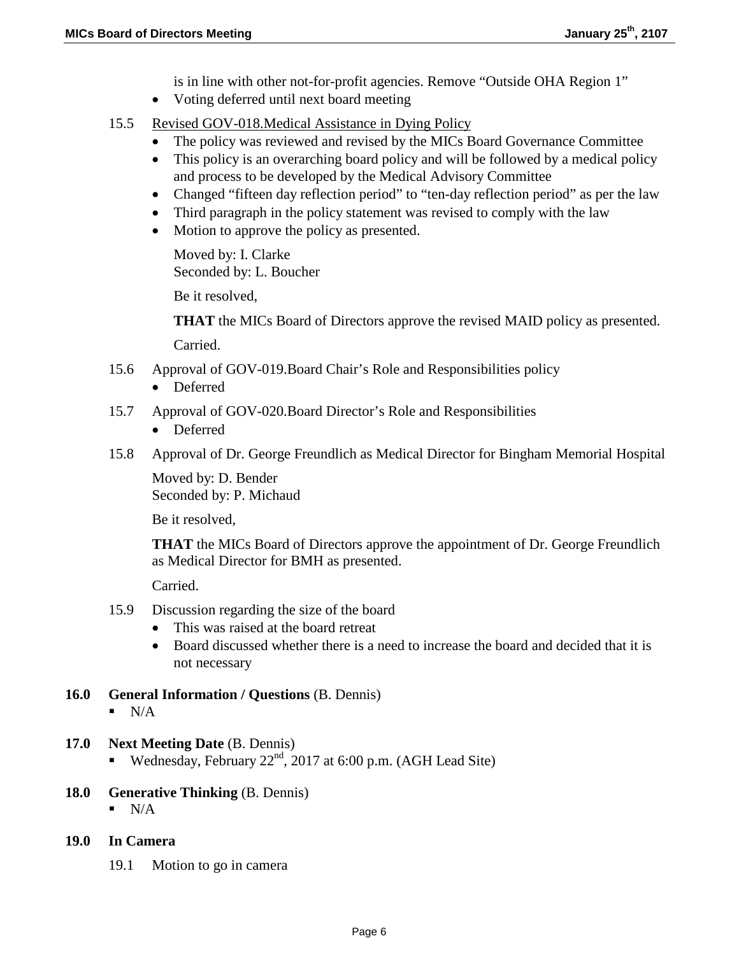is in line with other not-for-profit agencies. Remove "Outside OHA Region 1"

- Voting deferred until next board meeting
- 15.5 Revised GOV-018.Medical Assistance in Dying Policy
	- The policy was reviewed and revised by the MICs Board Governance Committee
	- This policy is an overarching board policy and will be followed by a medical policy and process to be developed by the Medical Advisory Committee
	- Changed "fifteen day reflection period" to "ten-day reflection period" as per the law
	- Third paragraph in the policy statement was revised to comply with the law
	- Motion to approve the policy as presented.

Moved by: I. Clarke Seconded by: L. Boucher

Be it resolved,

**THAT** the MICs Board of Directors approve the revised MAID policy as presented.

Carried.

- 15.6 Approval of GOV-019.Board Chair's Role and Responsibilities policy
	- Deferred
- 15.7 Approval of GOV-020.Board Director's Role and Responsibilities
	- Deferred
- 15.8 Approval of Dr. George Freundlich as Medical Director for Bingham Memorial Hospital

Moved by: D. Bender Seconded by: P. Michaud

Be it resolved,

**THAT** the MICs Board of Directors approve the appointment of Dr. George Freundlich as Medical Director for BMH as presented.

Carried.

- 15.9 Discussion regarding the size of the board
	- This was raised at the board retreat
	- Board discussed whether there is a need to increase the board and decided that it is not necessary
- **16.0 General Information / Questions** (B. Dennis)
	- $\blacksquare$  N/A
- **17.0 Next Meeting Date** (B. Dennis)
	- Wednesday, February  $22<sup>nd</sup>$ , 2017 at 6:00 p.m. (AGH Lead Site)
- **18.0 Generative Thinking** (B. Dennis)
	- $N/A$
- **19.0 In Camera**
	- 19.1 Motion to go in camera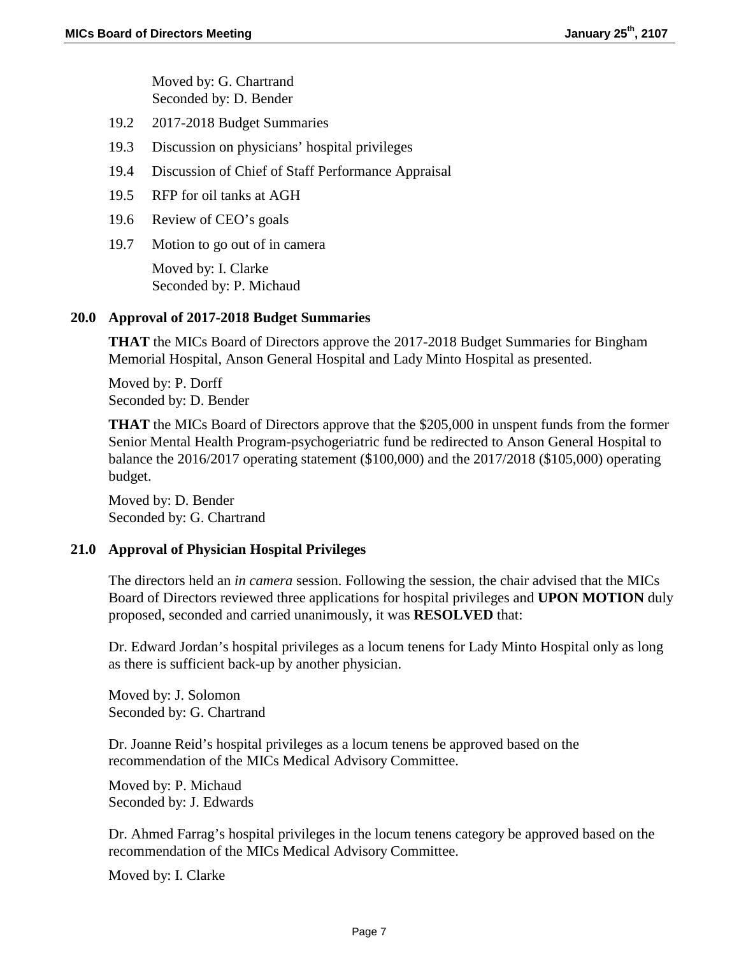Moved by: G. Chartrand Seconded by: D. Bender

- 19.2 2017-2018 Budget Summaries
- 19.3 Discussion on physicians' hospital privileges
- 19.4 Discussion of Chief of Staff Performance Appraisal
- 19.5 RFP for oil tanks at AGH
- 19.6 Review of CEO's goals
- 19.7 Motion to go out of in camera

Moved by: I. Clarke Seconded by: P. Michaud

### **20.0 Approval of 2017-2018 Budget Summaries**

**THAT** the MICs Board of Directors approve the 2017-2018 Budget Summaries for Bingham Memorial Hospital, Anson General Hospital and Lady Minto Hospital as presented.

Moved by: P. Dorff Seconded by: D. Bender

**THAT** the MICs Board of Directors approve that the \$205,000 in unspent funds from the former Senior Mental Health Program-psychogeriatric fund be redirected to Anson General Hospital to balance the 2016/2017 operating statement (\$100,000) and the 2017/2018 (\$105,000) operating budget.

Moved by: D. Bender Seconded by: G. Chartrand

## **21.0 Approval of Physician Hospital Privileges**

The directors held an *in camera* session. Following the session, the chair advised that the MICs Board of Directors reviewed three applications for hospital privileges and **UPON MOTION** duly proposed, seconded and carried unanimously, it was **RESOLVED** that:

Dr. Edward Jordan's hospital privileges as a locum tenens for Lady Minto Hospital only as long as there is sufficient back-up by another physician.

Moved by: J. Solomon Seconded by: G. Chartrand

Dr. Joanne Reid's hospital privileges as a locum tenens be approved based on the recommendation of the MICs Medical Advisory Committee.

Moved by: P. Michaud Seconded by: J. Edwards

Dr. Ahmed Farrag's hospital privileges in the locum tenens category be approved based on the recommendation of the MICs Medical Advisory Committee.

Moved by: I. Clarke